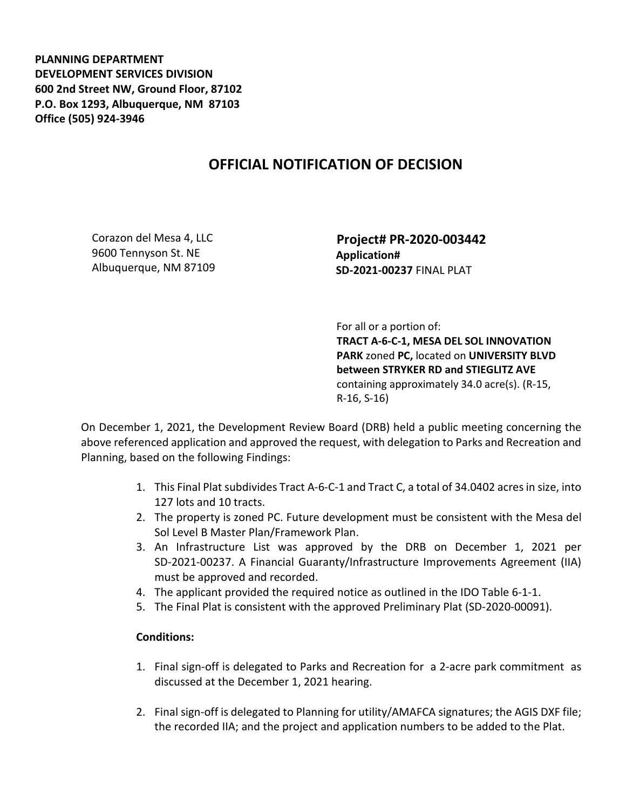**PLANNING DEPARTMENT DEVELOPMENT SERVICES DIVISION 600 2nd Street NW, Ground Floor, 87102 P.O. Box 1293, Albuquerque, NM 87103 Office (505) 924-3946** 

## **OFFICIAL NOTIFICATION OF DECISION**

Corazon del Mesa 4, LLC 9600 Tennyson St. NE Albuquerque, NM 87109  **Project# PR-2020-003442 Application# SD-2021-00237** FINAL PLAT

 For all or a portion of: **TRACT A-6-C-1, MESA DEL SOL INNOVATION PARK** zoned **PC,** located on **UNIVERSITY BLVD between STRYKER RD and STIEGLITZ AVE**  containing approximately 34.0 acre(s). (R-15, R-16, S-16)

On December 1, 2021, the Development Review Board (DRB) held a public meeting concerning the above referenced application and approved the request, with delegation to Parks and Recreation and Planning, based on the following Findings:

- 1. This Final Plat subdivides Tract A-6-C-1 and Tract C, a total of 34.0402 acres in size, into 127 lots and 10 tracts.
- 2. The property is zoned PC. Future development must be consistent with the Mesa del Sol Level B Master Plan/Framework Plan.
- 3. An Infrastructure List was approved by the DRB on December 1, 2021 per SD-2021-00237. A Financial Guaranty/Infrastructure Improvements Agreement (IIA) must be approved and recorded.
- 4. The applicant provided the required notice as outlined in the IDO Table 6-1-1.
- 5. The Final Plat is consistent with the approved Preliminary Plat (SD-2020-00091).

## **Conditions:**

- 1. Final sign-off is delegated to Parks and Recreation for a 2-acre park commitment as discussed at the December 1, 2021 hearing.
- 2. Final sign-off is delegated to Planning for utility/AMAFCA signatures; the AGIS DXF file; the recorded IIA; and the project and application numbers to be added to the Plat.